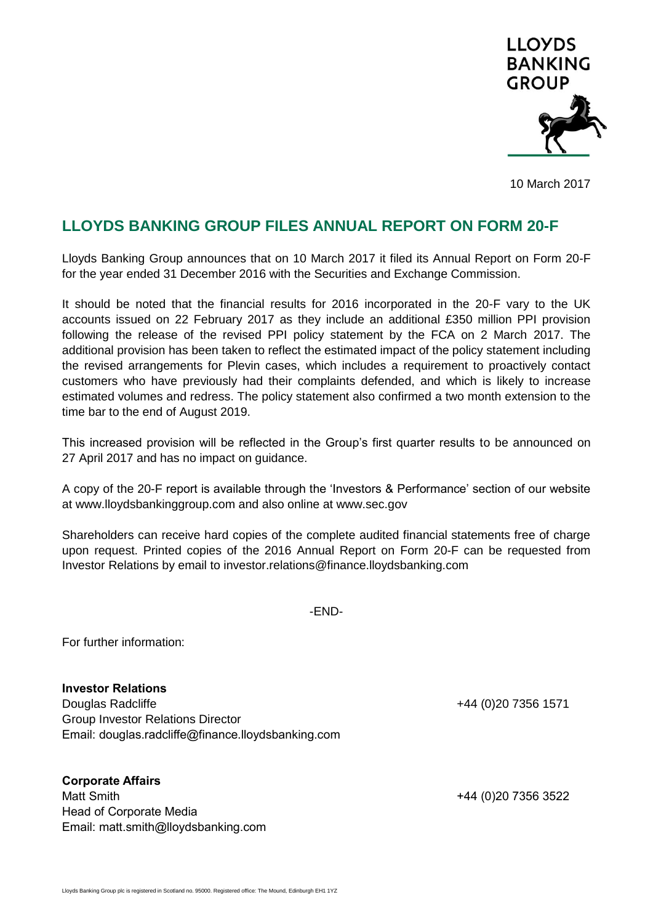

10 March 2017

## **LLOYDS BANKING GROUP FILES ANNUAL REPORT ON FORM 20-F**

Lloyds Banking Group announces that on 10 March 2017 it filed its Annual Report on Form 20-F for the year ended 31 December 2016 with the Securities and Exchange Commission.

It should be noted that the financial results for 2016 incorporated in the 20-F vary to the UK accounts issued on 22 February 2017 as they include an additional £350 million PPI provision following the release of the revised PPI policy statement by the FCA on 2 March 2017. The additional provision has been taken to reflect the estimated impact of the policy statement including the revised arrangements for Plevin cases, which includes a requirement to proactively contact customers who have previously had their complaints defended, and which is likely to increase estimated volumes and redress. The policy statement also confirmed a two month extension to the time bar to the end of August 2019.

This increased provision will be reflected in the Group's first quarter results to be announced on 27 April 2017 and has no impact on guidance.

A copy of the 20-F report is available through the 'Investors & Performance' section of our website at www.lloydsbankinggroup.com and also online at www.sec.gov

Shareholders can receive hard copies of the complete audited financial statements free of charge upon request. Printed copies of the 2016 Annual Report on Form 20-F can be requested from Investor Relations by email to investor.relations@finance.lloydsbanking.com

-END-

For further information:

**Investor Relations** Douglas Radcliffe +44 (0)20 7356 1571 Group Investor Relations Director Email: douglas.radcliffe@finance.lloydsbanking.com

## **Corporate Affairs**

Matt Smith +44 (0)20 7356 3522 Head of Corporate Media Email: matt.smith@lloydsbanking.com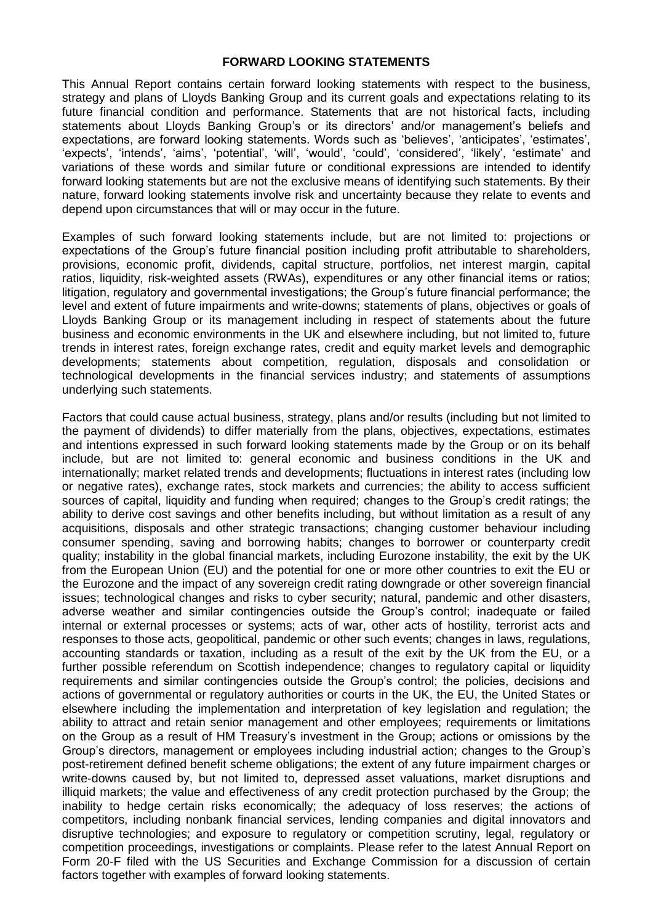## **FORWARD LOOKING STATEMENTS**

This Annual Report contains certain forward looking statements with respect to the business, strategy and plans of Lloyds Banking Group and its current goals and expectations relating to its future financial condition and performance. Statements that are not historical facts, including statements about Lloyds Banking Group's or its directors' and/or management's beliefs and expectations, are forward looking statements. Words such as 'believes', 'anticipates', 'estimates', 'expects', 'intends', 'aims', 'potential', 'will', 'would', 'could', 'considered', 'likely', 'estimate' and variations of these words and similar future or conditional expressions are intended to identify forward looking statements but are not the exclusive means of identifying such statements. By their nature, forward looking statements involve risk and uncertainty because they relate to events and depend upon circumstances that will or may occur in the future.

Examples of such forward looking statements include, but are not limited to: projections or expectations of the Group's future financial position including profit attributable to shareholders, provisions, economic profit, dividends, capital structure, portfolios, net interest margin, capital ratios, liquidity, risk-weighted assets (RWAs), expenditures or any other financial items or ratios; litigation, regulatory and governmental investigations; the Group's future financial performance; the level and extent of future impairments and write-downs; statements of plans, objectives or goals of Lloyds Banking Group or its management including in respect of statements about the future business and economic environments in the UK and elsewhere including, but not limited to, future trends in interest rates, foreign exchange rates, credit and equity market levels and demographic developments; statements about competition, regulation, disposals and consolidation or technological developments in the financial services industry; and statements of assumptions underlying such statements.

Factors that could cause actual business, strategy, plans and/or results (including but not limited to the payment of dividends) to differ materially from the plans, objectives, expectations, estimates and intentions expressed in such forward looking statements made by the Group or on its behalf include, but are not limited to: general economic and business conditions in the UK and internationally; market related trends and developments; fluctuations in interest rates (including low or negative rates), exchange rates, stock markets and currencies; the ability to access sufficient sources of capital, liquidity and funding when required; changes to the Group's credit ratings; the ability to derive cost savings and other benefits including, but without limitation as a result of any acquisitions, disposals and other strategic transactions; changing customer behaviour including consumer spending, saving and borrowing habits; changes to borrower or counterparty credit quality; instability in the global financial markets, including Eurozone instability, the exit by the UK from the European Union (EU) and the potential for one or more other countries to exit the EU or the Eurozone and the impact of any sovereign credit rating downgrade or other sovereign financial issues; technological changes and risks to cyber security; natural, pandemic and other disasters, adverse weather and similar contingencies outside the Group's control; inadequate or failed internal or external processes or systems; acts of war, other acts of hostility, terrorist acts and responses to those acts, geopolitical, pandemic or other such events; changes in laws, regulations, accounting standards or taxation, including as a result of the exit by the UK from the EU, or a further possible referendum on Scottish independence; changes to regulatory capital or liquidity requirements and similar contingencies outside the Group's control; the policies, decisions and actions of governmental or regulatory authorities or courts in the UK, the EU, the United States or elsewhere including the implementation and interpretation of key legislation and regulation; the ability to attract and retain senior management and other employees; requirements or limitations on the Group as a result of HM Treasury's investment in the Group; actions or omissions by the Group's directors, management or employees including industrial action; changes to the Group's post-retirement defined benefit scheme obligations; the extent of any future impairment charges or write-downs caused by, but not limited to, depressed asset valuations, market disruptions and illiquid markets; the value and effectiveness of any credit protection purchased by the Group; the inability to hedge certain risks economically; the adequacy of loss reserves; the actions of competitors, including nonbank financial services, lending companies and digital innovators and disruptive technologies; and exposure to regulatory or competition scrutiny, legal, regulatory or competition proceedings, investigations or complaints. Please refer to the latest Annual Report on Form 20-F filed with the US Securities and Exchange Commission for a discussion of certain factors together with examples of forward looking statements.